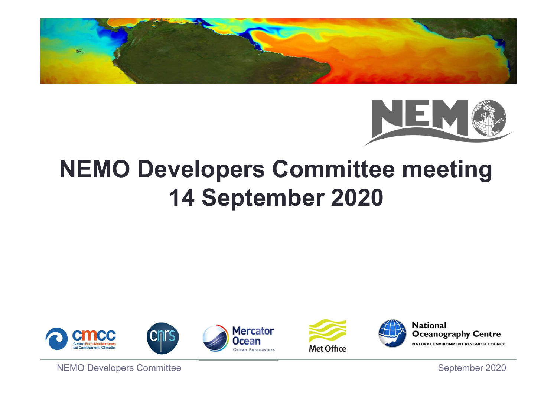



## NEMO Developers Committee meeting 14 September 2020 THE SEPTEMBER 2020<br>
NEMO Developers Committee<br>
NEMO Developers Committee<br>
NEMO Developers Committee<br>
September 2020







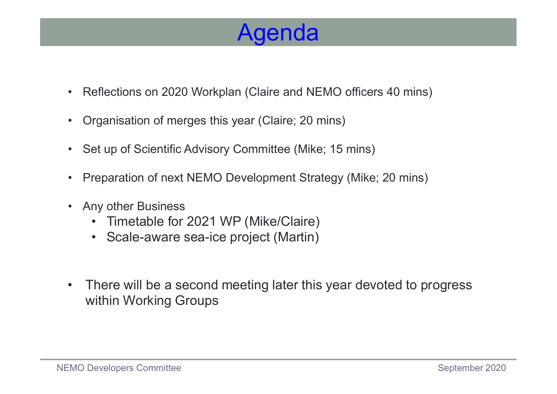#### Agenda

- **Agenda**<br>• Reflections on 2020 Workplan (Claire and NEMO officers 40 mins)<br>• Organisation of merges this year (Claire; 20 mins) Agenda<br>• Reflections on 2020 Workplan (Claire and NEMO officers 40 m<br>• Organisation of merges this year (Claire; 20 mins)<br>• Set up of Scientific Advisory Committee (Mike; 15 mins) • Reflections on 2020 Workplan (Claire and NEMO officers 40 mins)<br>• Organisation of merges this year (Claire; 20 mins)<br>• Set up of Scientific Advisory Committee (Mike; 15 mins)<br>• Preparation of next NEMO Development Strate • Reflections on 2020 Workplan (Claire and NEMO officers 40 mins)<br>• Organisation of merges this year (Claire; 20 mins)<br>• Set up of Scientific Advisory Committee (Mike; 15 mins)<br>• Preparation of next NEMO Development Strate • Reflections on 2020 Workplan (Claire and<br>• Organisation of merges this year (Claire;<br>• Set up of Scientific Advisory Committee (I<br>• Preparation of next NEMO Development<br>• Any other Business<br>• Timetable for 2021 WP (Mike/ eflections on 2020 Workplan (Claire and NEMO officers<br>rganisation of merges this year (Claire; 20 mins)<br>et up of Scientific Advisory Committee (Mike; 15 mins)<br>reparation of next NEMO Development Strategy (Mike;<br>ny other Bu eflections on 2020 Workplan (Claire and NEMO officers<br>rganisation of merges this year (Claire; 20 mins)<br>et up of Scientific Advisory Committee (Mike; 15 mins)<br>reparation of next NEMO Development Strategy (Mike;<br>ny other Bu
- 
- 
- 
- -
	-
- Organisation of merges this year (Claire; 20 mins)<br>• Set up of Scientific Advisory Committee (Mike; 15 mins)<br>• Preparation of next NEMO Development Strategy (Mike; 20 mins)<br>• Any other Business<br>• Timetable for 2021 WP (M within Working Groups • Any other Business<br>
• Timetable for 2021 WP (Mike/Claire)<br>
• Scale-aware sea-ice project (Martin)<br>
• There will be a second meeting later this year devoted to progress<br>
within Working Groups<br>
NEMO Developers Committee<br>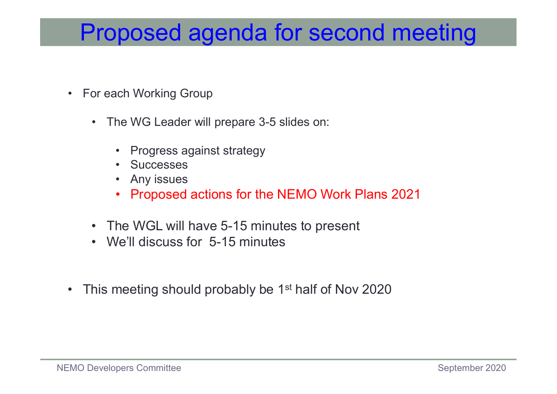### **Proposed agenda for<br>• For each Working Group<br>• The WG Leader will prepare 3-5 slide** Proposed agenda for second<br>
Freedah Working Group<br>
• The WG Leader will prepare 3-5 slides on:<br>
• Progress against strategy<br>
• Successes **posed agenda for secor**<br>
en Working Group<br>
he WG Leader will prepare 3-5 slides on:<br>
• Progress against strategy<br>
• Successes<br>
• Any issues<br>
• Proposed actions for the NEMO Work Pl **posed agenda for sec-**<br>The Working Group<br>The WG Leader will prepare 3-5 slides on:<br>• Progress against strategy<br>• Any issues<br>• Proposed actions for the NEMO Worl<br>• Proposed actions for the NEMO Worl **posed agenda for sechiols of the WG Leader will prepare 3-5 slides on:**<br>• Progress against strategy<br>• Successes<br>• Any issues<br>• Proposed actions for the NEMO Worl **posed agenda for second meeting**<br>
• Working Group<br>
• WG Leader will prepare 3-5 slides on:<br>
• Progress against strategy<br>
• Successes<br>
• Any issues<br>
• Proposed actions for the NEMO Work Plans 2021<br>
he WGL will have 5-15 mi Proposed agenda for second meeting

- - -
		-
		-
- or each Working Group<br>
 The WG Leader will prepare 3-5 slides on:<br>
 Progress against strategy<br>
 Successes<br>
 Any issues<br>
 Proposed actions for the NEMO Work Plans 202<br>
 The WGL will have 5-15 minutes to present<br>
 We'
- or each Working Group<br>
 The WG Leader will prepare 3-5 slides on:<br>
 Progress against strategy<br>
 Successes<br>
 Any issues<br>
 Proposed actions for the NEMO Work Plans<br>
 The WGL will have 5-15 minutes to present<br>
 We'll d
	-
- The WG Leader will prepare 3-5 sildes on:<br>
 Progress against strategy<br>
 Successes<br>
 Proposed actions for the NEMO Work Plans 2021<br>
 The WGL will have 5-15 minutes to present<br>
 We'll discuss for 5-15 minutes<br>
 This • The WGL will have 5-15 minutes to present<br>• We'll discuss for 5-15 minutes<br>• This meeting should probably be 1<sup>st</sup> half of Nov 2020<br>NEMO Developers Committee<br>September 2020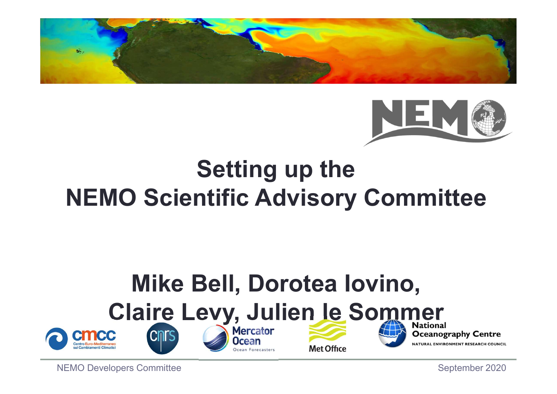



### Setting up the NEMO Scientific Advisory Committee

### Mike Bell, Dorotea Iovino, Claire Levy, Julien le Sommer NEMO SCIENTIFIC AGVISORY COMMITTEE<br>
Mike Bell, Dorotea Iovino,<br>
Claire Levy, Julien Je Sommer<br>
Scientifical Crist Committee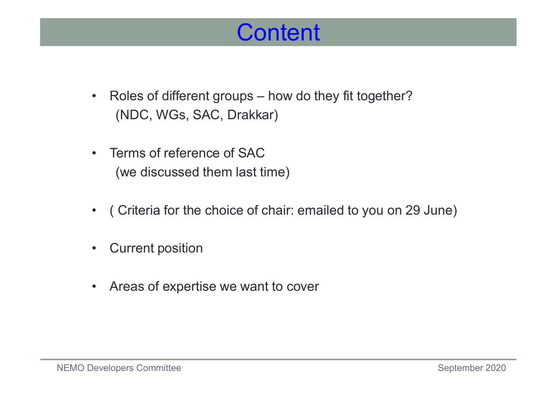#### **Content**

- Roles of different groups how do they fit together?<br>
(NDC, WGs, SAC, Drakkar) (NDC, WGs, SAC, Drakkar) **Content<br>• Roles of different groups – how do the<br>(NDC, WGs, SAC, Drakkar)<br>• Terms of reference of SAC<br>(we discussed them last time)** • Roles of different groups – how do they fit together?<br>
(NDC, WGs, SAC, Drakkar)<br>
• Terms of reference of SAC<br>
(we discussed them last time)<br>
• (Criteria for the choice of chair: emailed to you on 29 June)<br>
• Current posi • Roles of different groups – how do the<br>
(NDC, WGs, SAC, Drakkar)<br>
• Terms of reference of SAC<br>
(we discussed them last time)<br>
• ( Criteria for the choice of chair: emai<br>
• Current position<br>
• Areas of expertise we want t
- (we discussed them last time) • Terms of reference of SAC<br>• Terms of reference of SAC<br>• (Criteria for the choice of chair: emailed to you<br>• Current position<br>• Areas of expertise we want to cover
- ( Criteria for the choice of chair: emailed to you on 29 June)<br>
 Current position<br>
 Areas of expertise we want to cover<br>
NEMO Developers Committee<br>
September 2020<br>
September 2020
	-
	-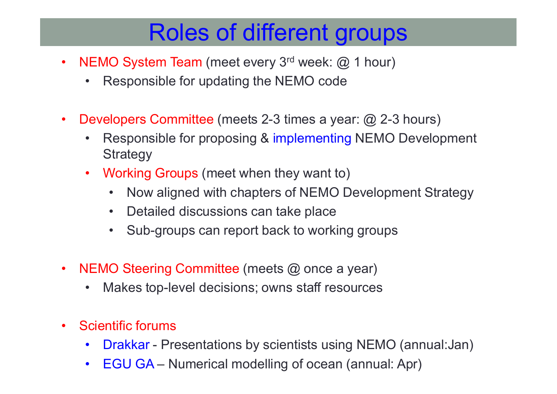### **Proferent Strate Strate Strate Strate Strate Strate Strate Strate Strate Strate Strate Strate Strate Strate Strate Strate Strate Strate Strate Strate Strate Strate Strate Strate Strate Strate Strate Strate Strate Strate S Roles of different groups**<br>• Responsible for updating the NEMO code<br>• Responsible for updating the NEMO code<br>• Developers Committee (meets 2-3 times a year: @ 2-3 h Roles of different groups

- -
- 
- NEMO System Team (meet every 3<sup>rd</sup> week: @ 1 hour)<br>• Responsible for updating the NEMO code<br>• Developers Committee (meets 2-3 times a year: @ 2-3 hours)<br>• Responsible for proposing & implementing NEMO Development<br>Strateg • Roles of different groups<br>• Responsible for updating the NEMO code<br>• Responsible for updating the NEMO code<br>• Pevelopers Committee (meets 2-3 times a year: @ 2-3 hours)<br>• Responsible for proposing & implementing NEMO Dev **Strategy FEMO System Team (meet every 3<sup>rd</sup> week: @ 1 hour)**<br>• Responsible for updating the NEMO code<br>**Developers Committee (meets 2-3 times a year: @ 2-3 h**<br>• Responsible for proposing & implementing NEMO De<br>Strategy<br>• Working Gr • Northern Compact Compact Compact Constant Constant Constant Constant Constant Constant Constant Constant Constant Constant Constant Constant Constant Constant Constant Constant Constant Compact Compact Compact Compact Co O System Team (meet every 3<sup>rd</sup> week: @ 1 hour)<br>Responsible for updating the NEMO code<br>Popers Committee (meets 2-3 times a year: @ 2-3<br>Responsible for proposing & implementing NEMO<br>Strategy<br>Vorking Groups (meet when they w O System Team (meet every 3<sup>rd</sup> week: @ 1 nour)<br>Responsible for updating the NEMO code<br>Iopers Committee (meets 2-3 times a year: @ 2-3 hours)<br>Responsible for proposing & implementing NEMO Development<br>Strategy<br>Vorking Grou • Developers Committee (meets 2-3 times a year: @ 2-3 hours)<br>• Responsible for proposing & implementing NEMO Develop<br>Strategy<br>• Working Groups (meet when they want to)<br>• Now aligned with chapters of NEMO Development Stra<br>• vevelopers Committee (meets 2-3 times a year: @ 2-3 hours)<br>• Responsible for proposing & implementing NEMO Develop<br>Strategy<br>• Working Groups (meet when they want to)<br>• Now aligned with chapters of NEMO Development Strategy
	- -
		-
		-
- Working Groups (meet when they<br>• Now aligned with chapters of<br>• Detailed discussions can take<br>• Sub-groups can report back to<br>• NEMO Steering Committee (meets @<br>• Makes top-level decisions; owns<br>• Scientific forums<br>• Dra
	-
- 
- Working Groups (meet when they want to)<br>• Now aligned with chapters of NEMO Development Strategy<br>• Detailed discussions can take place<br>• Sub-groups can report back to working groups<br>IEMO Steering Committee (meets @ once • Now alighed with chapters of NEMO Development Strategy<br>• Detailed discussions can take place<br>• Sub-groups can report back to working groups<br>• Makes top-level decisions; owns staff resources<br>• Makes top-level decisions; o
	-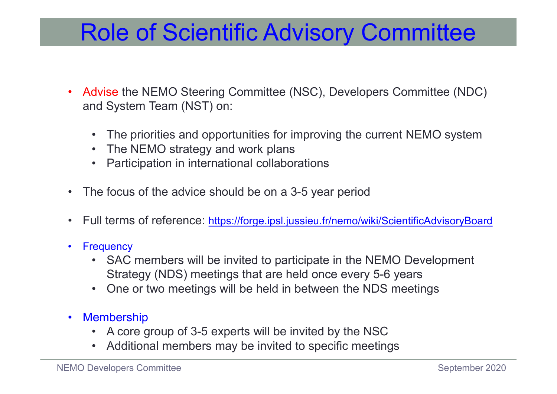#### Role of Scientific Advisory Committee

- Advise the NEMO Steering Committee (NSC), Developers Committee (NDC)<br>• Advise the NEMO Steering Committee (NSC), Developers Committee (NDC)<br>• The priorities and opportunities for improving the current NEMO system and System Team (NST) on: • **Colling of Scientific Advisory Committee**<br>
• Mension Steering Committee (NSC), Developers Committee (NDC)<br>
• The priorities and opportunities for improving the current NEMO system<br>
• The NEMO strategy and work plans<br>
• **ODE Of Scientific Advisory Cor**<br> **Solary Cond**<br> **System Team (NST) on:**<br>
• The priorities and opportunities for improving the curren<br>
• The NEMO strategy and work plans<br>
• Participation in international collaborations<br> **h ODE OF Scientific Advisory Commit Advisory**<br> **COMM**<br> **o** Aystem Team (NST) on:<br>
• The priorities and opportunities for improving the current NEM<br>
• The NEMO strategy and work plans<br>
• Participation in international collab • Role of Scientific Advisory Committee<br>• Advise the NEMO Steering Committee (NSC), Developers Committee (NDC<br>• The priorities and opportunities for improving the current NEMO system<br>• The NEMO strategy and work plans<br>• Pa • Advise the NEMO Steering Committee (NSC), Developers Committee (NDC)<br>
• The priorities and opportunities for improving the current NEMO system<br>
• The NEMO strategy and work plans<br>
• Participation in international collabo • Advise the NEMO Steering Committee (N<br>
and System Team (NST) on:<br>
• The priorities and opportunities for in<br>
• The NEMO strategy and work plans<br>
• Participation in international collabors<br>
• The focus of the advice shoul
	-
	-
	-
- 
- 
- 
- dvise the NEMO Steering Committee (NSC), Developers Committee (NDC)<br>id System Team (NST) on:<br>• The priorities and opportunities for improving the current NEMO system<br>• The NEMO strategy and work plans<br>• Participation in in Strategy (NDS) meetings that are held once every 5-6 years • The priorities and opportunities for improving the current NEMO system<br>
• The NEMO strategy and work plans<br>
• Participation in international collaborations<br>
he focus of the advice should be on a 3-5 year period<br>
ull term • The NEMO strategy and work plans<br>• Participation in international collabora<br>• The focus of the advice should be on a 3-<br>• Full terms of reference: https://forge.ipsl.jus<br>• Frequency<br>• SAC members will be invited to parti • Participation in international collaborations<br>
the focus of the advice should be on a 3-5 year period<br>
ull terms of reference: <u>https://forge.jpsl.jussieu.fr/nemo/wiki/ScientificAdvisoryBoard</u><br>
equency<br>
• SAC members wil • Additional members may be invited to specific meetings<br>
• Additional members will be invited to participate in the NEMO Development<br>
• SAC members will be invited to participate in the NEMO Development<br>
• SAC members wil NEMO Developers Committee<br>NEMO Developers Committee<br>NEMO Development<br>Network SAC members will be invited to participate in the NEMO Development<br>Strategy (NDS) meetings that are held once every 5-6 years<br>New One or two mee
	-
	- -
		-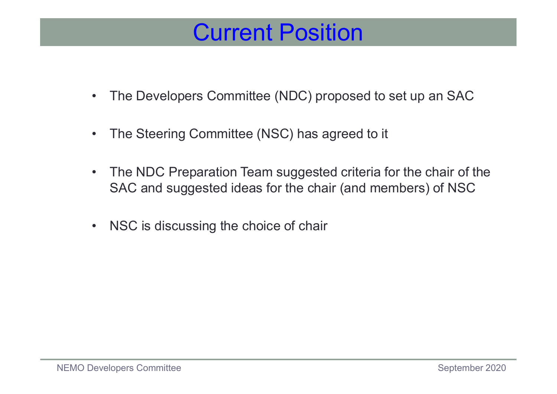#### Current Position

- **Current Position**<br>• The Developers Committee (NDC) proposed to set up an SAC<br>• The Steering Committee (NSC) has agreed to it **Current Position**<br>• The Developers Committee (NDC) proposed to set up an a<br>• The Steering Committee (NSC) has agreed to it<br>• The NDC Preparation Team suggested criteria for the chain
- 
- The Developers Committee (NDC) proposed to set up an SAC<br>• The Steering Committee (NSC) has agreed to it<br>• The NDC Preparation Team suggested criteria for the chair of the<br>SAC and suggested ideas for the chair (and membe SAC and suggested ideas for the chair (and members) of NSC • The Developers Committee (NDC) proposed to<br>• The Steering Committee (NSC) has agreed to it<br>• The NDC Preparation Team suggested criteria f<br>SAC and suggested ideas for the chair (and me<br>• NSC is discussing the choice of c
- NSC is discussing the choice of chair<br>NEMO Developers Committee<br>September 2020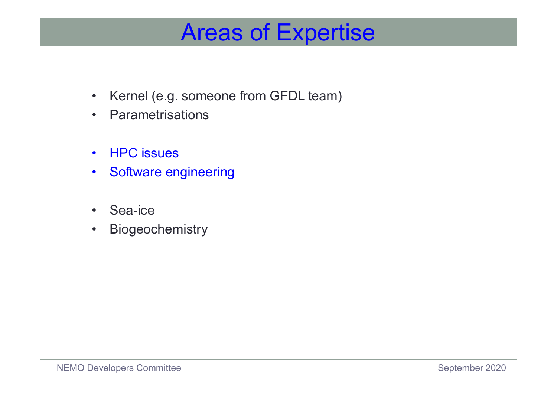# **Areas of Expertise**<br>• Kernel (e.g. someone from GFDL team)<br>• Parametrisations Areas of Expertise

- Areas of Expe<br>• Kernel (e.g. someone from GFDL tea<br>• Parametrisations<br>• HPC issues Areas of Expe<br>• Kernel (e.g. someone from GFDL tea<br>• Parametrisations<br>• HPC issues<br>• Software engineering Areas of Expe<br>• Kernel (e.g. someone from GFDL tea<br>• Parametrisations<br>• Software engineering<br>• Sea-ice • Kernel (e.g. someone from GFDL tea<br>• Parametrisations<br>• HPC issues<br>• Software engineering<br>• Sea-ice<br>• Biogeochemistry • Kernel (e.g. someone from GFDL tea<br>• Parametrisations<br>• HPC issues<br>• Software engineering<br>• Sea-ice<br>• Biogeochemistry
- 
- 
- 
- 
- Sea-ice<br>• Biogeochemistry<br>NEMO Developers Committee<br>September 2020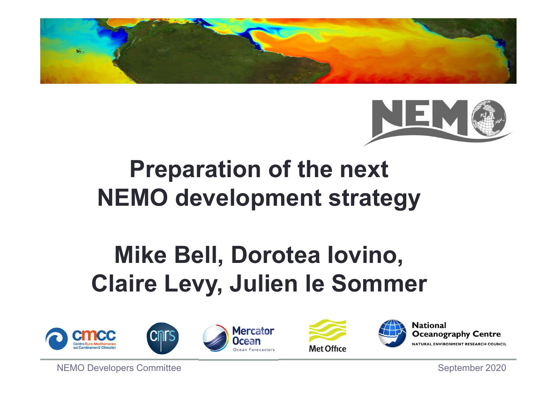



### Preparation of the next NEMO development strategy

### Mike Bell, Dorotea Iovino, Claire Levy, Julien le Sommer NEMO Developers Committee









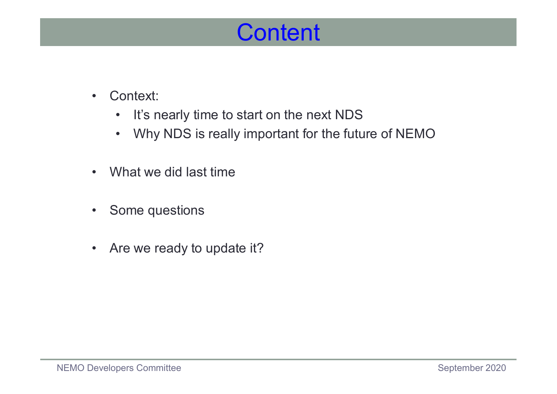#### **Content**

- 
- **Content**<br>
 Context:<br>
 It's nearly time to start on the nex<br>
 Why NDS is really important for t • Context:<br>• It's nearly time to start on the next NI<br>• Why NDS is really important for the fi<br>• What we did last time<br>• Some questions • Context:<br>• It's nearly time to start on the nex<br>• Why NDS is really important for t<br>• What we did last time<br>• Some questions<br>• Are we ready to update it? • Context:<br>• It's nearly time to start on the nex<br>• What we did last time<br>• Some questions<br>• Are we ready to update it?
	- **Content**<br>• It's nearly time to start on the next NDS<br>• Why NDS is really important for the future of NEMO **Context:**<br>• It's nearly time to start on the next NDS<br>• Why NDS is really important for the future of NEMO<br>Vhat we did last time
- 
- 
- Some questions<br>• Are we ready to update it?<br>NEMO Developers Committee September 2020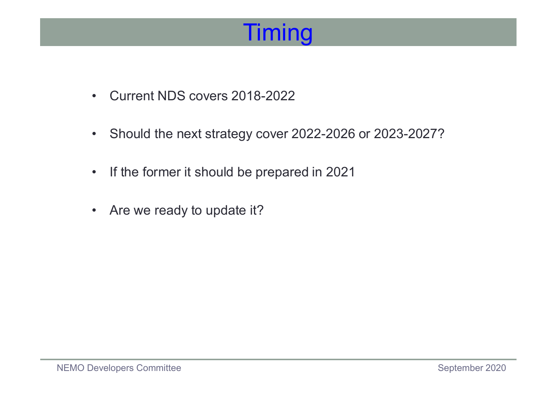### **Timing**

- 
- Timing<br>• Current NDS covers 2018-2022<br>• Should the next strategy cover 2022-2026 • Current NDS covers 2018-2022<br>• Should the next strategy cover 2022-2026 or 2023-2027?<br>• If the former it should be prepared in 2021 • Current NDS covers 2018-2022<br>• Should the next strategy cover 2022-2026 or 2023-2<br>• If the former it should be prepared in 2021<br>• Are we ready to update it?
- Current NDS covers 2018-2022<br>• Should the next strategy cover 2022-<br>• If the former it should be prepared in<br>• Are we ready to update it?
- Are we ready to update it?<br>NEMO Developers Committee September 2020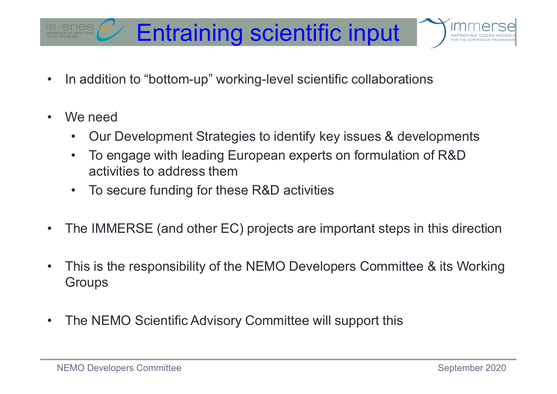## **Entraining scientific input**<br>• In addition to "bottom-up" working-level scientific collaborations<br>• We need **Entraining Science 6 Entraining Science 1**<br>• In addition to "bottom-up" working-lev<br>• We need • Our Development Strategies to id<br>• To engage with leading Europear Entraining scientific input



- 
- -
- Framet Constraining Scientific input<br>
 addition to "bottom-up" working-level scientific collaborations<br>
 Our Development Strategies to identify key issues & developments<br>
 To engage with leading European experts on form Friend Team of the Haling Scientific input<br>
• To engage with leading European experts on formulation of R&D<br>
• To engage with leading European experts on formulation of R&D<br>
• To secure funding for these R&D activities activities to address them **Entraining scientific inpurally and addition to "bottom-up" working-level scientific collabory<br>
Ve need<br>
• Our Development Strategies to identify key issues &<br>
• To engage with leading European experts on formula<br>
• To se** • In addition to "bottom-up" working-level scientific collaborations<br>
• We need<br>
• Our Development Strategies to identify key issues & developments<br>
• To engage with leading European experts on formulation of R&D<br>
• To sec
	-
- 
- We need<br>• Our Development Strategies to identify key issues & developments<br>• To engage with leading European experts on formulation of R&D<br>activities to address them<br>• To secure funding for these R&D activities<br>• The IMM **Groups** • To engage with leading European experts on formulation of R&D<br>activities to address them<br>• To secure funding for these R&D activities<br>• The IMMERSE (and other EC) projects are important steps in this direction<br>• This is The IMMERSE (and other EC) projects are important steps in this direction<br>This is the responsibility of the NEMO Developers Committee & its Working<br>Groups<br>The NEMO Scientific Advisory Committee will support this<br>NEMO Devel
-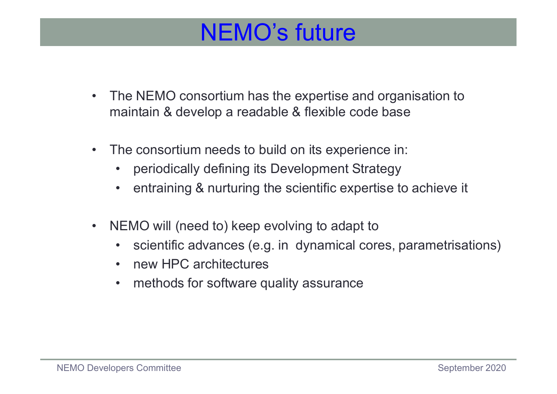#### NEMO's future

- The NEMO consortium has the expertise and organisation to maintain & develop a readable & flexible code base maintain & develop a readable & flexible code base • The NEMO consortium has the expertise and organisation to<br>maintain & develop a readable & flexible code base<br>• The consortium needs to build on its experience in:<br>• periodically defining its Development Strategy<br>• entrai **EMO's future**<br>
The NEMO consortium has the expertise and organisation to<br>
maintain & develop a readable & flexible code base<br>
The consortium needs to build on its experience in:<br>
• periodically defining its Development St • NEMO's future<br>• The NEMO consortium has the expertise and organisation to<br>• naintain & develop a readable & flexible code base<br>• The consortium needs to build on its experience in:<br>• periodically defining its Development • The NEMO consortium has the expertise and organisation<br>maintain & develop a readable & flexible code base<br>• The consortium needs to build on its experience in:<br>• periodically defining its Development Strategy<br>• entrainin The NEMO consortium has the expertise and organisation to<br>naintain & develop a readable & flexible code base<br>
The consortium needs to build on its experience in:<br>
• periodically defining its Development Strategy<br>
• entrain naintain & develop a readable & flexible<br>
The consortium needs to build on its experiorially defining its Development<br>
• periodically defining its Development<br>
• entraining & nurturing the scientific experiorial<br>
• Scienti
- -
- Franciant & develop a readable & flexible code base<br>
 periodically defining its Development Strategy<br>
 entraining & nurturing the scientific expertise to ad<br>
 EMO will (need to) keep evolving to adapt to<br>
 scientific a
- 
- NEMO will (need to) keep evolving to adapt to<br>
 scientific advances (e.g. in dynamical cores, parametrisations)<br>
 new HPC architectures<br>
 methods for software quality assurance<br>
NEMO Developers Committee<br>
September 2
	-
	-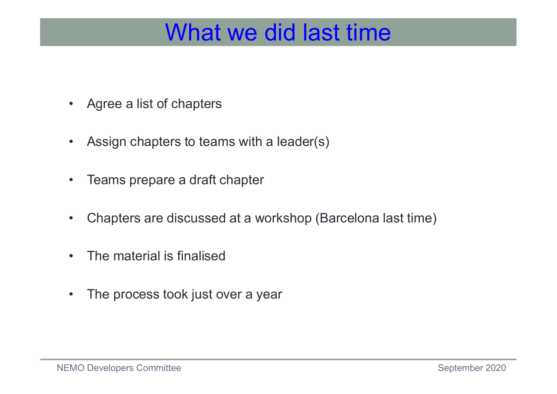### What we did last<br>• Agree a list of chapters<br>• Assign chapters to teams with a leader(s What we did last time<br>• Agree a list of chapters<br>• Assign chapters to teams with a leader(s)<br>• Teams prepare a draft chapter What we did last **What we did last We**<br>• Assign chapters to teams with a leader (s<br>• Teams prepare a draft chapter<br>• Chapters are discussed at a workshop (B What we did last time

- 
- Agree a list of chapters<br>• Assign chapters to teams with a lead<br>• Teams prepare a draft chapter<br>• Chapters are discussed at a worksho<br>• The material is finalised<br>• The process took just over a year
- 
- Agree a list of chapters<br>• Assign chapters to teams with a leader(s)<br>• Teams prepare a draft chapter<br>• Chapters are discussed at a workshop (Barcelona last time)<br>• The material is finalised • Assign chapters to teams with a leader(s)<br>• Teams prepare a draft chapter<br>• Chapters are discussed at a workshop (Bare<br>• The material is finalised<br>• The process took just over a year • Chapters are discussed at a workshop (Barcelona last time)<br>
• The material is finalised<br>
• The process took just over a year<br>
NEMO Developers Committee<br>
September 2020<br>
September 2020
	-
	-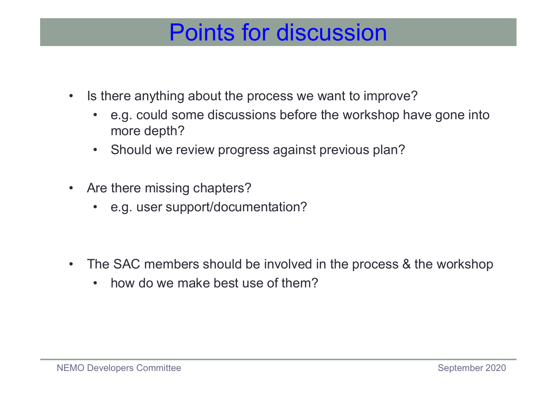#### Points for discussion

- 
- Is there anything about the process we want to improve?<br>• e.g. could some discussions before the workshop have gone into more depth? **Points for discussion**<br>• there anything about the process we want to improve?<br>• e.g. could some discussions before the workshop have gone into<br>• Should we review progress against previous plan? more depth? • Points for discussion<br>• e.g. could some discussions before the workshop have gone into<br>• e.g. could some discussions before the workshop have gone into<br>• Should we review progress against previous plan?<br>• there missing c • Is there anything about the process we want to<br>• e.g. could some discussions before the wor<br>more depth?<br>• Should we review progress against previous<br>• Are there missing chapters?<br>• e.g. user support/documentation? • e.g. could some discussions before the workshop have there anything about the process we want to improve?<br>• e.g. could some discussions before the workshop have more depth?<br>• Should we review progress against previous pl • Is there anything about the process we want to improve?<br>• e.g. could some discussions before the workshop have gone into<br>more depth?<br>• Should we review progress against previous plan?<br>• Are there missing chapters?<br>• e.g. • e.g. could some discussions before the workshop have<br>more depth?<br>• Should we review progress against previous plan?<br>xre there missing chapters?<br>• e.g. user support/documentation?<br>The SAC members should be involved in the
	-
- -
- e.g. user support/documentation?<br>
→ The SAC members should be involved in the process & the workshop<br>
→ how do we make best use of them?<br>
NEMO Developers Committee<br>
September 2020<br>
September 2020
	-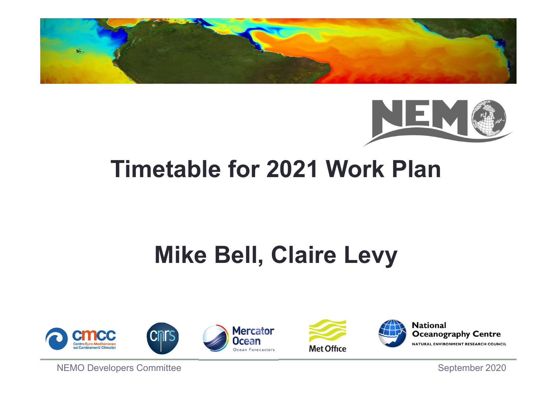



### Timetable for 2021 Work Plan

### Mike Bell, Claire Levy